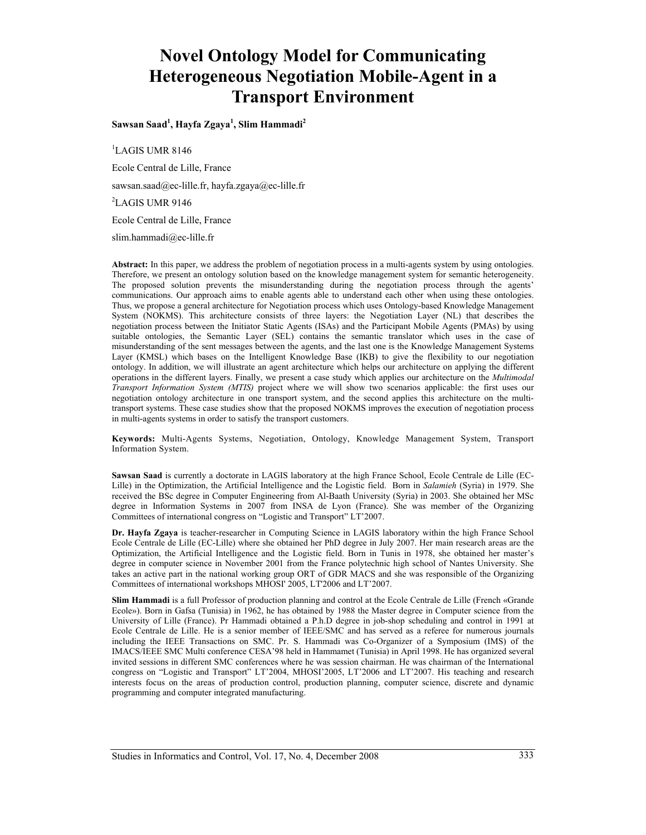# **Novel Ontology Model for Communicating Heterogeneous Negotiation Mobile-Agent in a Transport Environment**

**Sawsan Saad1 , Hayfa Zgaya1 , Slim Hammadi<sup>2</sup>**

1 LAGIS UMR 8146

Ecole Central de Lille, France

sawsan.saad@ec-lille.fr, hayfa.zgaya@ec-lille.fr

2 LAGIS UMR 9146

Ecole Central de Lille, France

slim.hammadi@ec-lille.fr

**Abstract:** In this paper, we address the problem of negotiation process in a multi-agents system by using ontologies. Therefore, we present an ontology solution based on the knowledge management system for semantic heterogeneity. The proposed solution prevents the misunderstanding during the negotiation process through the agents' communications. Our approach aims to enable agents able to understand each other when using these ontologies. Thus, we propose a general architecture for Negotiation process which uses Ontology-based Knowledge Management System (NOKMS). This architecture consists of three layers: the Negotiation Layer (NL) that describes the negotiation process between the Initiator Static Agents (ISAs) and the Participant Mobile Agents (PMAs) by using suitable ontologies, the Semantic Layer (SEL) contains the semantic translator which uses in the case of misunderstanding of the sent messages between the agents, and the last one is the Knowledge Management Systems Layer (KMSL) which bases on the Intelligent Knowledge Base (IKB) to give the flexibility to our negotiation ontology. In addition, we will illustrate an agent architecture which helps our architecture on applying the different operations in the different layers. Finally, we present a case study which applies our architecture on the *Multimodal Transport Information System (MTIS)* project where we will show two scenarios applicable: the first uses our negotiation ontology architecture in one transport system, and the second applies this architecture on the multitransport systems. These case studies show that the proposed NOKMS improves the execution of negotiation process in multi-agents systems in order to satisfy the transport customers.

**Keywords:** Multi-Agents Systems, Negotiation, Ontology, Knowledge Management System, Transport Information System.

**Sawsan Saad** is currently a doctorate in LAGIS laboratory at the high France School, Ecole Centrale de Lille (EC-Lille) in the Optimization, the Artificial Intelligence and the Logistic field. Born in *Salamieh* (Syria) in 1979. She received the BSc degree in Computer Engineering from Al-Baath University (Syria) in 2003. She obtained her MSc degree in Information Systems in 2007 from INSA de Lyon (France). She was member of the Organizing Committees of international congress on "Logistic and Transport" LT'2007.

**Dr. Hayfa Zgaya** is teacher-researcher in Computing Science in LAGIS laboratory within the high France School Ecole Centrale de Lille (EC-Lille) where she obtained her PhD degree in July 2007. Her main research areas are the Optimization, the Artificial Intelligence and the Logistic field. Born in Tunis in 1978, she obtained her master's degree in computer science in November 2001 from the France polytechnic high school of Nantes University. She takes an active part in the national working group ORT of GDR MACS and she was responsible of the Organizing Committees of international workshops MHOSI' 2005, LT'2006 and LT'2007.

**Slim Hammadi** is a full Professor of production planning and control at the Ecole Centrale de Lille (French «Grande Ecole»). Born in Gafsa (Tunisia) in 1962, he has obtained by 1988 the Master degree in Computer science from the University of Lille (France). Pr Hammadi obtained a P.h.D degree in job-shop scheduling and control in 1991 at Ecole Centrale de Lille. He is a senior member of IEEE/SMC and has served as a referee for numerous journals including the IEEE Transactions on SMC. Pr. S. Hammadi was Co-Organizer of a Symposium (IMS) of the IMACS/IEEE SMC Multi conference CESA'98 held in Hammamet (Tunisia) in April 1998. He has organized several invited sessions in different SMC conferences where he was session chairman. He was chairman of the International congress on "Logistic and Transport" LT'2004, MHOSI'2005, LT'2006 and LT'2007. His teaching and research interests focus on the areas of production control, production planning, computer science, discrete and dynamic programming and computer integrated manufacturing.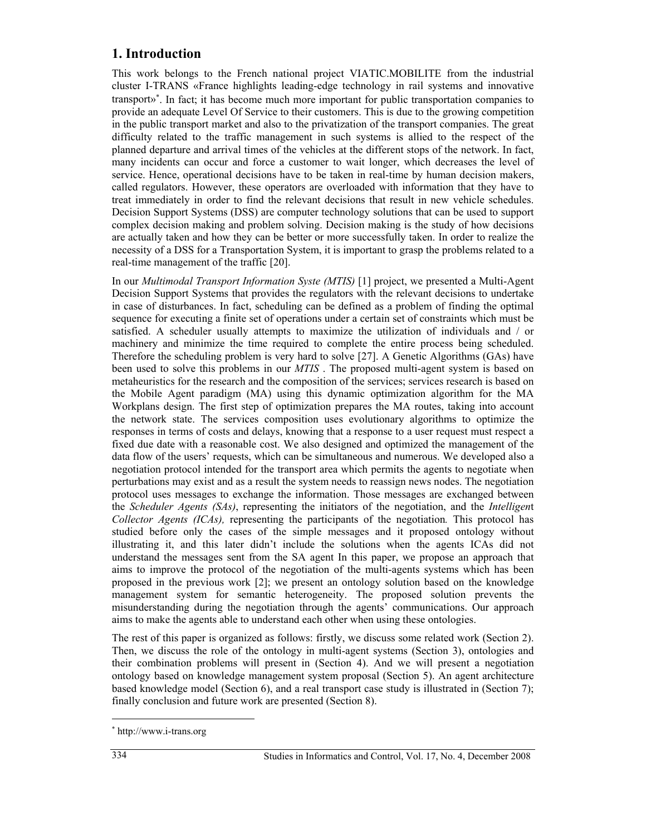# **1. Introduction**

This work belongs to the French national project VIATIC.MOBILITE from the industrial cluster I-TRANS «France highlights leading-edge technology in rail systems and innovative transport»<sup>∗</sup> . In fact; it has become much more important for public transportation companies to provide an adequate Level Of Service to their customers. This is due to the growing competition in the public transport market and also to the privatization of the transport companies. The great difficulty related to the traffic management in such systems is allied to the respect of the planned departure and arrival times of the vehicles at the different stops of the network. In fact, many incidents can occur and force a customer to wait longer, which decreases the level of service. Hence, operational decisions have to be taken in real-time by human decision makers, called regulators. However, these operators are overloaded with information that they have to treat immediately in order to find the relevant decisions that result in new vehicle schedules. Decision Support Systems (DSS) are computer technology solutions that can be used to support complex decision making and problem solving. Decision making is the study of how decisions are actually taken and how they can be better or more successfully taken. In order to realize the necessity of a DSS for a Transportation System, it is important to grasp the problems related to a real-time management of the traffic [20].

In our *Multimodal Transport Information Syste (MTIS)* [1] project, we presented a Multi-Agent Decision Support Systems that provides the regulators with the relevant decisions to undertake in case of disturbances. In fact, scheduling can be defined as a problem of finding the optimal sequence for executing a finite set of operations under a certain set of constraints which must be satisfied. A scheduler usually attempts to maximize the utilization of individuals and / or machinery and minimize the time required to complete the entire process being scheduled. Therefore the scheduling problem is very hard to solve [27]. A Genetic Algorithms (GAs) have been used to solve this problems in our *MTIS* . The proposed multi-agent system is based on metaheuristics for the research and the composition of the services; services research is based on the Mobile Agent paradigm (MA) using this dynamic optimization algorithm for the MA Workplans design. The first step of optimization prepares the MA routes, taking into account the network state. The services composition uses evolutionary algorithms to optimize the responses in terms of costs and delays, knowing that a response to a user request must respect a fixed due date with a reasonable cost. We also designed and optimized the management of the data flow of the users' requests, which can be simultaneous and numerous. We developed also a negotiation protocol intended for the transport area which permits the agents to negotiate when perturbations may exist and as a result the system needs to reassign news nodes. The negotiation protocol uses messages to exchange the information. Those messages are exchanged between the *Scheduler Agents (SAs)*, representing the initiators of the negotiation, and the *Intelligen*t *Collector Agents (ICAs),* representing the participants of the negotiation*.* This protocol has studied before only the cases of the simple messages and it proposed ontology without illustrating it, and this later didn't include the solutions when the agents ICAs did not understand the messages sent from the SA agent In this paper, we propose an approach that aims to improve the protocol of the negotiation of the multi-agents systems which has been proposed in the previous work [2]; we present an ontology solution based on the knowledge management system for semantic heterogeneity. The proposed solution prevents the misunderstanding during the negotiation through the agents' communications. Our approach aims to make the agents able to understand each other when using these ontologies.

The rest of this paper is organized as follows: firstly, we discuss some related work (Section 2). Then, we discuss the role of the ontology in multi-agent systems (Section 3), ontologies and their combination problems will present in (Section 4). And we will present a negotiation ontology based on knowledge management system proposal (Section 5). An agent architecture based knowledge model (Section 6), and a real transport case study is illustrated in (Section 7); finally conclusion and future work are presented (Section 8).

 $\overline{a}$ 

<sup>∗</sup> http://www.i-trans.org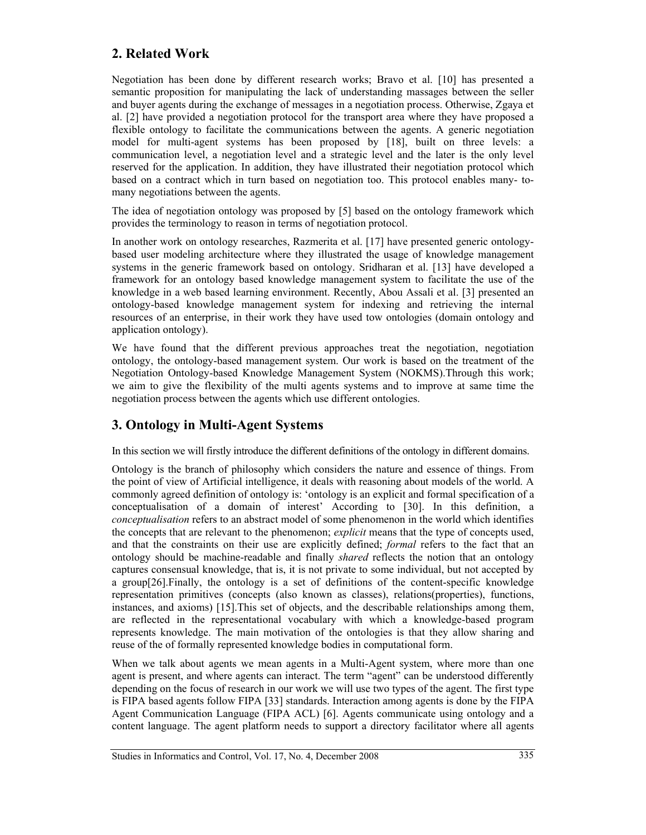# **2. Related Work**

Negotiation has been done by different research works; Bravo et al. [10] has presented a semantic proposition for manipulating the lack of understanding massages between the seller and buyer agents during the exchange of messages in a negotiation process. Otherwise, Zgaya et al. [2] have provided a negotiation protocol for the transport area where they have proposed a flexible ontology to facilitate the communications between the agents. A generic negotiation model for multi-agent systems has been proposed by [18], built on three levels: a communication level, a negotiation level and a strategic level and the later is the only level reserved for the application. In addition, they have illustrated their negotiation protocol which based on a contract which in turn based on negotiation too. This protocol enables many- tomany negotiations between the agents.

The idea of negotiation ontology was proposed by [5] based on the ontology framework which provides the terminology to reason in terms of negotiation protocol.

In another work on ontology researches, Razmerita et al. [17] have presented generic ontologybased user modeling architecture where they illustrated the usage of knowledge management systems in the generic framework based on ontology. Sridharan et al. [13] have developed a framework for an ontology based knowledge management system to facilitate the use of the knowledge in a web based learning environment. Recently, Abou Assali et al. [3] presented an ontology-based knowledge management system for indexing and retrieving the internal resources of an enterprise, in their work they have used tow ontologies (domain ontology and application ontology).

We have found that the different previous approaches treat the negotiation, negotiation ontology, the ontology-based management system. Our work is based on the treatment of the Negotiation Ontology-based Knowledge Management System (NOKMS).Through this work; we aim to give the flexibility of the multi agents systems and to improve at same time the negotiation process between the agents which use different ontologies.

# **3. Ontology in Multi-Agent Systems**

In this section we will firstly introduce the different definitions of the ontology in different domains.

Ontology is the branch of philosophy which considers the nature and essence of things. From the point of view of Artificial intelligence, it deals with reasoning about models of the world. A commonly agreed definition of ontology is: 'ontology is an explicit and formal specification of a conceptualisation of a domain of interest' According to [30]. In this definition, a *conceptualisation* refers to an abstract model of some phenomenon in the world which identifies the concepts that are relevant to the phenomenon; *explicit* means that the type of concepts used, and that the constraints on their use are explicitly defined; *formal* refers to the fact that an ontology should be machine-readable and finally *shared* reflects the notion that an ontology captures consensual knowledge, that is, it is not private to some individual, but not accepted by a group[26].Finally, the ontology is a set of definitions of the content-specific knowledge representation primitives (concepts (also known as classes), relations(properties), functions, instances, and axioms) [15].This set of objects, and the describable relationships among them, are reflected in the representational vocabulary with which a knowledge-based program represents knowledge. The main motivation of the ontologies is that they allow sharing and reuse of the of formally represented knowledge bodies in computational form.

When we talk about agents we mean agents in a Multi-Agent system, where more than one agent is present, and where agents can interact. The term "agent" can be understood differently depending on the focus of research in our work we will use two types of the agent. The first type is FIPA based agents follow FIPA [33] standards. Interaction among agents is done by the FIPA Agent Communication Language (FIPA ACL) [6]. Agents communicate using ontology and a content language. The agent platform needs to support a directory facilitator where all agents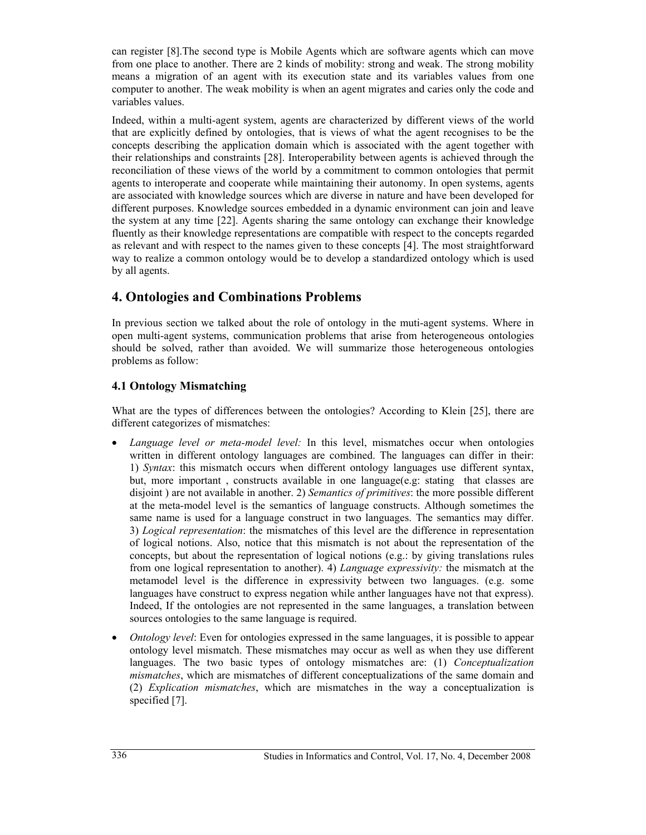can register [8].The second type is Mobile Agents which are software agents which can move from one place to another. There are 2 kinds of mobility: strong and weak. The strong mobility means a migration of an agent with its execution state and its variables values from one computer to another. The weak mobility is when an agent migrates and caries only the code and variables values.

Indeed, within a multi-agent system, agents are characterized by different views of the world that are explicitly defined by ontologies, that is views of what the agent recognises to be the concepts describing the application domain which is associated with the agent together with their relationships and constraints [28]. Interoperability between agents is achieved through the reconciliation of these views of the world by a commitment to common ontologies that permit agents to interoperate and cooperate while maintaining their autonomy. In open systems, agents are associated with knowledge sources which are diverse in nature and have been developed for different purposes. Knowledge sources embedded in a dynamic environment can join and leave the system at any time [22]. Agents sharing the same ontology can exchange their knowledge fluently as their knowledge representations are compatible with respect to the concepts regarded as relevant and with respect to the names given to these concepts [4]. The most straightforward way to realize a common ontology would be to develop a standardized ontology which is used by all agents.

# **4. Ontologies and Combinations Problems**

In previous section we talked about the role of ontology in the muti-agent systems. Where in open multi-agent systems, communication problems that arise from heterogeneous ontologies should be solved, rather than avoided. We will summarize those heterogeneous ontologies problems as follow:

### **4.1 Ontology Mismatching**

What are the types of differences between the ontologies? According to Klein [25], there are different categorizes of mismatches:

- *Language level or meta-model level:* In this level, mismatches occur when ontologies written in different ontology languages are combined. The languages can differ in their: 1) *Syntax*: this mismatch occurs when different ontology languages use different syntax, but, more important , constructs available in one language(e.g: stating that classes are disjoint ) are not available in another. 2) *Semantics of primitives*: the more possible different at the meta-model level is the semantics of language constructs. Although sometimes the same name is used for a language construct in two languages. The semantics may differ. 3) *Logical representation*: the mismatches of this level are the difference in representation of logical notions. Also, notice that this mismatch is not about the representation of the concepts, but about the representation of logical notions (e.g.: by giving translations rules from one logical representation to another). 4) *Language expressivity:* the mismatch at the metamodel level is the difference in expressivity between two languages. (e.g. some languages have construct to express negation while anther languages have not that express). Indeed, If the ontologies are not represented in the same languages, a translation between sources ontologies to the same language is required.
- *Ontology level*: Even for ontologies expressed in the same languages, it is possible to appear ontology level mismatch. These mismatches may occur as well as when they use different languages. The two basic types of ontology mismatches are: (1) *Conceptualization mismatches*, which are mismatches of different conceptualizations of the same domain and (2) *Explication mismatches*, which are mismatches in the way a conceptualization is specified [7].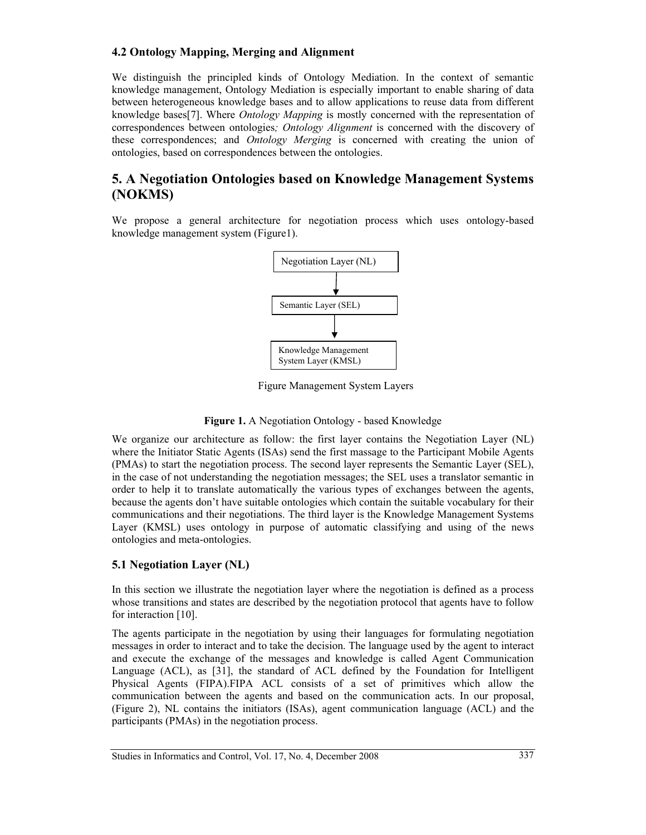#### **4.2 Ontology Mapping, Merging and Alignment**

We distinguish the principled kinds of Ontology Mediation. In the context of semantic knowledge management, Ontology Mediation is especially important to enable sharing of data between heterogeneous knowledge bases and to allow applications to reuse data from different knowledge bases[7]. Where *Ontology Mapping* is mostly concerned with the representation of correspondences between ontologies*; Ontology Alignment* is concerned with the discovery of these correspondences; and *Ontology Merging* is concerned with creating the union of ontologies, based on correspondences between the ontologies.

### **5. A Negotiation Ontologies based on Knowledge Management Systems (NOKMS)**

We propose a general architecture for negotiation process which uses ontology-based knowledge management system (Figure1).



Figure Management System Layers

**Figure 1.** A Negotiation Ontology - based Knowledge

We organize our architecture as follow: the first layer contains the Negotiation Layer (NL) where the Initiator Static Agents (ISAs) send the first massage to the Participant Mobile Agents (PMAs) to start the negotiation process. The second layer represents the Semantic Layer (SEL), in the case of not understanding the negotiation messages; the SEL uses a translator semantic in order to help it to translate automatically the various types of exchanges between the agents, because the agents don't have suitable ontologies which contain the suitable vocabulary for their communications and their negotiations. The third layer is the Knowledge Management Systems Layer (KMSL) uses ontology in purpose of automatic classifying and using of the news ontologies and meta-ontologies.

#### **5.1 Negotiation Layer (NL)**

In this section we illustrate the negotiation layer where the negotiation is defined as a process whose transitions and states are described by the negotiation protocol that agents have to follow for interaction [10].

The agents participate in the negotiation by using their languages for formulating negotiation messages in order to interact and to take the decision. The language used by the agent to interact and execute the exchange of the messages and knowledge is called Agent Communication Language (ACL), as [31], the standard of ACL defined by the Foundation for Intelligent Physical Agents (FIPA).FIPA ACL consists of a set of primitives which allow the communication between the agents and based on the communication acts. In our proposal, (Figure 2), NL contains the initiators (ISAs), agent communication language (ACL) and the participants (PMAs) in the negotiation process.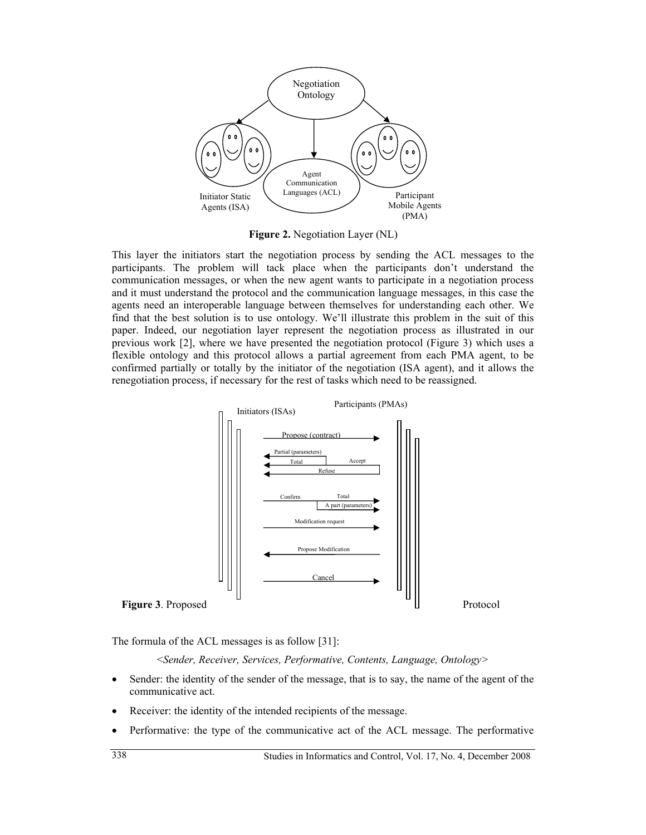

**Figure 2.** Negotiation Layer (NL)

This layer the initiators start the negotiation process by sending the ACL messages to the participants. The problem will tack place when the participants don't understand the communication messages, or when the new agent wants to participate in a negotiation process and it must understand the protocol and the communication language messages, in this case the agents need an interoperable language between themselves for understanding each other. We find that the best solution is to use ontology. We'll illustrate this problem in the suit of this paper. Indeed, our negotiation layer represent the negotiation process as illustrated in our previous work [2], where we have presented the negotiation protocol (Figure 3) which uses a flexible ontology and this protocol allows a partial agreement from each PMA agent, to be confirmed partially or totally by the initiator of the negotiation (ISA agent), and it allows the renegotiation process, if necessary for the rest of tasks which need to be reassigned.



The formula of the ACL messages is as follow [31]:

<*Sender, Receiver, Services, Performative, Contents, Language, Ontology>* 

- Sender: the identity of the sender of the message, that is to say, the name of the agent of the communicative act.
- Receiver: the identity of the intended recipients of the message.
- Performative: the type of the communicative act of the ACL message. The performative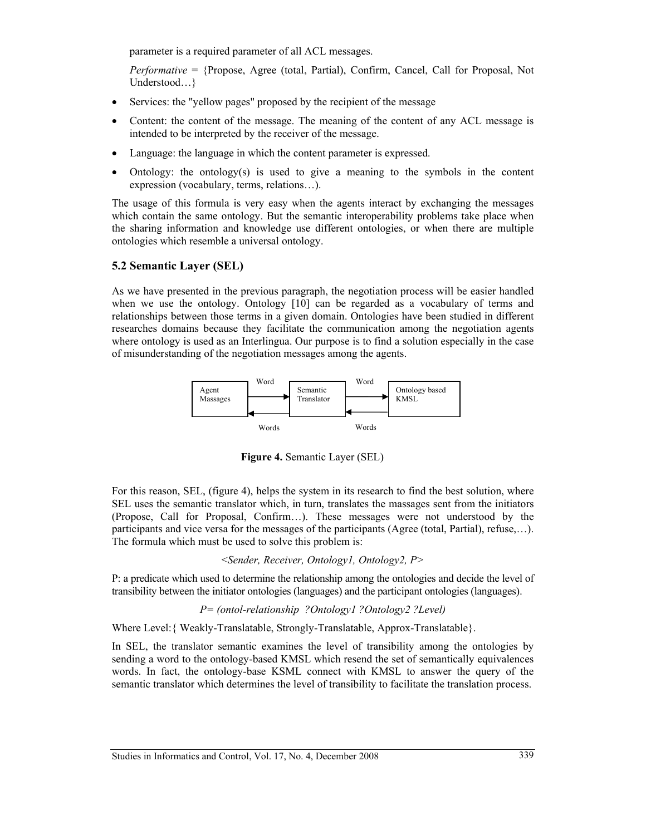parameter is a required parameter of all ACL messages.

*Performative* = {Propose, Agree (total, Partial), Confirm, Cancel, Call for Proposal, Not Understood…}

- Services: the "yellow pages" proposed by the recipient of the message
- Content: the content of the message. The meaning of the content of any ACL message is intended to be interpreted by the receiver of the message.
- Language: the language in which the content parameter is expressed.
- Ontology: the ontology(s) is used to give a meaning to the symbols in the content expression (vocabulary, terms, relations…).

The usage of this formula is very easy when the agents interact by exchanging the messages which contain the same ontology. But the semantic interoperability problems take place when the sharing information and knowledge use different ontologies, or when there are multiple ontologies which resemble a universal ontology.

#### **5.2 Semantic Layer (SEL)**

As we have presented in the previous paragraph, the negotiation process will be easier handled when we use the ontology. Ontology [10] can be regarded as a vocabulary of terms and relationships between those terms in a given domain. Ontologies have been studied in different researches domains because they facilitate the communication among the negotiation agents where ontology is used as an Interlingua. Our purpose is to find a solution especially in the case of misunderstanding of the negotiation messages among the agents.



**Figure 4.** Semantic Layer (SEL)

For this reason, SEL, (figure 4), helps the system in its research to find the best solution, where SEL uses the semantic translator which, in turn, translates the massages sent from the initiators (Propose, Call for Proposal, Confirm…). These messages were not understood by the participants and vice versa for the messages of the participants (Agree (total, Partial), refuse,…). The formula which must be used to solve this problem is:

<*Sender, Receiver, Ontology1, Ontology2, P>* 

P: a predicate which used to determine the relationship among the ontologies and decide the level of transibility between the initiator ontologies (languages) and the participant ontologies (languages).

*P= (ontol-relationship ?Ontology1 ?Ontology2 ?Level)* 

Where Level:{ Weakly-Translatable, Strongly-Translatable, Approx-Translatable}.

In SEL, the translator semantic examines the level of transibility among the ontologies by sending a word to the ontology-based KMSL which resend the set of semantically equivalences words. In fact, the ontology-base KSML connect with KMSL to answer the query of the semantic translator which determines the level of transibility to facilitate the translation process.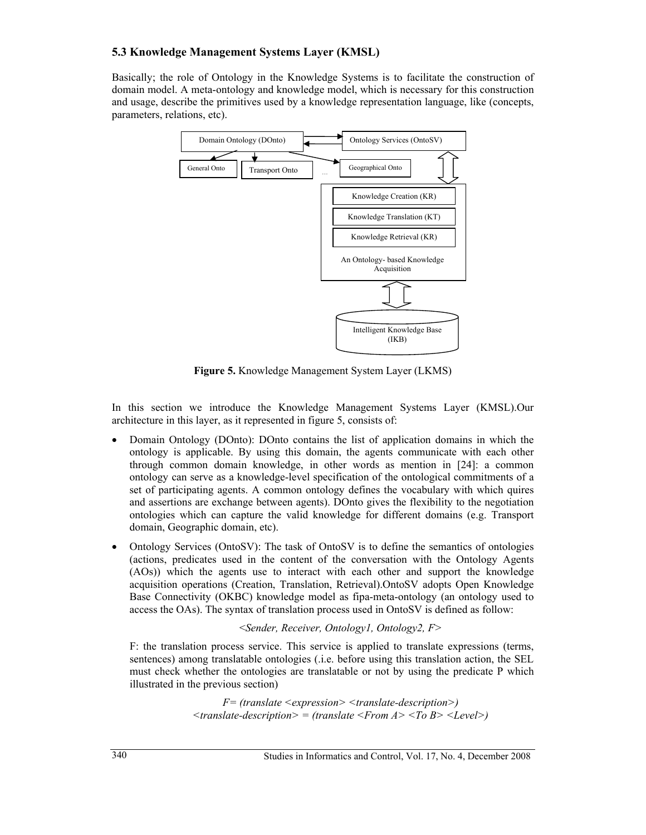#### **5.3 Knowledge Management Systems Layer (KMSL)**

Basically; the role of Ontology in the Knowledge Systems is to facilitate the construction of domain model. A meta-ontology and knowledge model, which is necessary for this construction and usage, describe the primitives used by a knowledge representation language, like (concepts, parameters, relations, etc).



**Figure 5.** Knowledge Management System Layer (LKMS)

In this section we introduce the Knowledge Management Systems Layer (KMSL).Our architecture in this layer, as it represented in figure 5, consists of:

- Domain Ontology (DOnto): DOnto contains the list of application domains in which the ontology is applicable. By using this domain, the agents communicate with each other through common domain knowledge, in other words as mention in [24]: a common ontology can serve as a knowledge-level specification of the ontological commitments of a set of participating agents. A common ontology defines the vocabulary with which quires and assertions are exchange between agents). DOnto gives the flexibility to the negotiation ontologies which can capture the valid knowledge for different domains (e.g. Transport domain, Geographic domain, etc).
- Ontology Services (OntoSV): The task of OntoSV is to define the semantics of ontologies (actions, predicates used in the content of the conversation with the Ontology Agents (AOs)) which the agents use to interact with each other and support the knowledge acquisition operations (Creation, Translation, Retrieval).OntoSV adopts Open Knowledge Base Connectivity (OKBC) knowledge model as fipa-meta-ontology (an ontology used to access the OAs). The syntax of translation process used in OntoSV is defined as follow:

<*Sender, Receiver, Ontology1, Ontology2, F>*

F: the translation process service. This service is applied to translate expressions (terms, sentences) among translatable ontologies (.i.e. before using this translation action, the SEL must check whether the ontologies are translatable or not by using the predicate P which illustrated in the previous section)

> *F= (translate <expression> <translate-description>) <translate-description> = (translate <From A> <To B> <Level>)*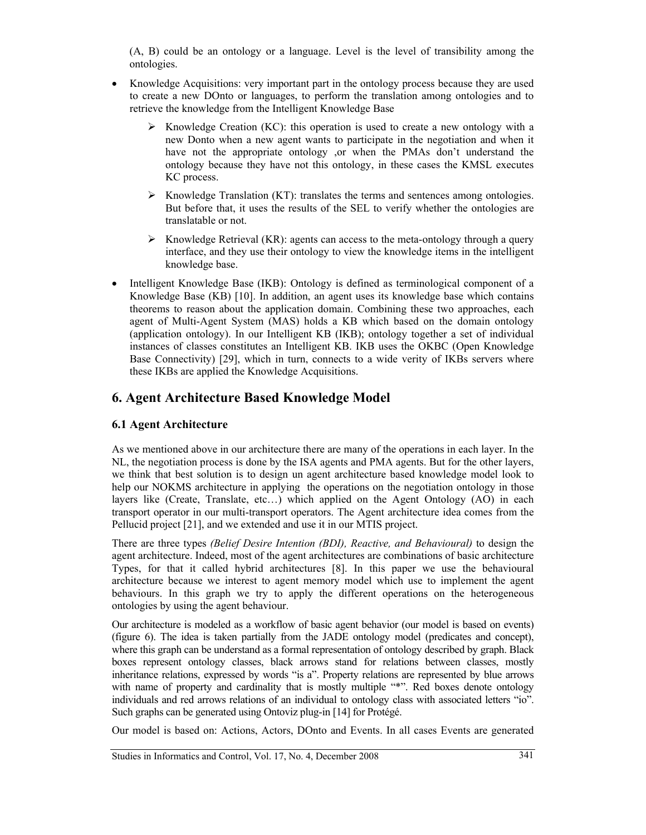(A, B) could be an ontology or a language. Level is the level of transibility among the ontologies.

- Knowledge Acquisitions: very important part in the ontology process because they are used to create a new DOnto or languages, to perform the translation among ontologies and to retrieve the knowledge from the Intelligent Knowledge Base
	- $\triangleright$  Knowledge Creation (KC): this operation is used to create a new ontology with a new Donto when a new agent wants to participate in the negotiation and when it have not the appropriate ontology ,or when the PMAs don't understand the ontology because they have not this ontology, in these cases the KMSL executes KC process.
	- $\triangleright$  Knowledge Translation (KT): translates the terms and sentences among ontologies. But before that, it uses the results of the SEL to verify whether the ontologies are translatable or not.
	- $\triangleright$  Knowledge Retrieval (KR): agents can access to the meta-ontology through a query interface, and they use their ontology to view the knowledge items in the intelligent knowledge base.
- Intelligent Knowledge Base (IKB): Ontology is defined as terminological component of a Knowledge Base (KB) [10]. In addition, an agent uses its knowledge base which contains theorems to reason about the application domain. Combining these two approaches, each agent of Multi-Agent System (MAS) holds a KB which based on the domain ontology (application ontology). In our Intelligent KB (IKB); ontology together a set of individual instances of classes constitutes an Intelligent KB. IKB uses the OKBC (Open Knowledge Base Connectivity) [29], which in turn, connects to a wide verity of IKBs servers where these IKBs are applied the Knowledge Acquisitions.

### **6. Agent Architecture Based Knowledge Model**

#### **6.1 Agent Architecture**

As we mentioned above in our architecture there are many of the operations in each layer. In the NL, the negotiation process is done by the ISA agents and PMA agents. But for the other layers, we think that best solution is to design un agent architecture based knowledge model look to help our NOKMS architecture in applying the operations on the negotiation ontology in those layers like (Create, Translate, etc…) which applied on the Agent Ontology (AO) in each transport operator in our multi-transport operators. The Agent architecture idea comes from the Pellucid project [21], and we extended and use it in our MTIS project.

There are three types *(Belief Desire Intention (BDI), Reactive, and Behavioural)* to design the agent architecture. Indeed, most of the agent architectures are combinations of basic architecture Types, for that it called hybrid architectures [8]. In this paper we use the behavioural architecture because we interest to agent memory model which use to implement the agent behaviours. In this graph we try to apply the different operations on the heterogeneous ontologies by using the agent behaviour.

Our architecture is modeled as a workflow of basic agent behavior (our model is based on events) (figure 6). The idea is taken partially from the JADE ontology model (predicates and concept), where this graph can be understand as a formal representation of ontology described by graph. Black boxes represent ontology classes, black arrows stand for relations between classes, mostly inheritance relations, expressed by words "is a". Property relations are represented by blue arrows with name of property and cardinality that is mostly multiple "\*". Red boxes denote ontology individuals and red arrows relations of an individual to ontology class with associated letters "io". Such graphs can be generated using Ontoviz plug-in [14] for Protégé.

Our model is based on: Actions, Actors, DOnto and Events. In all cases Events are generated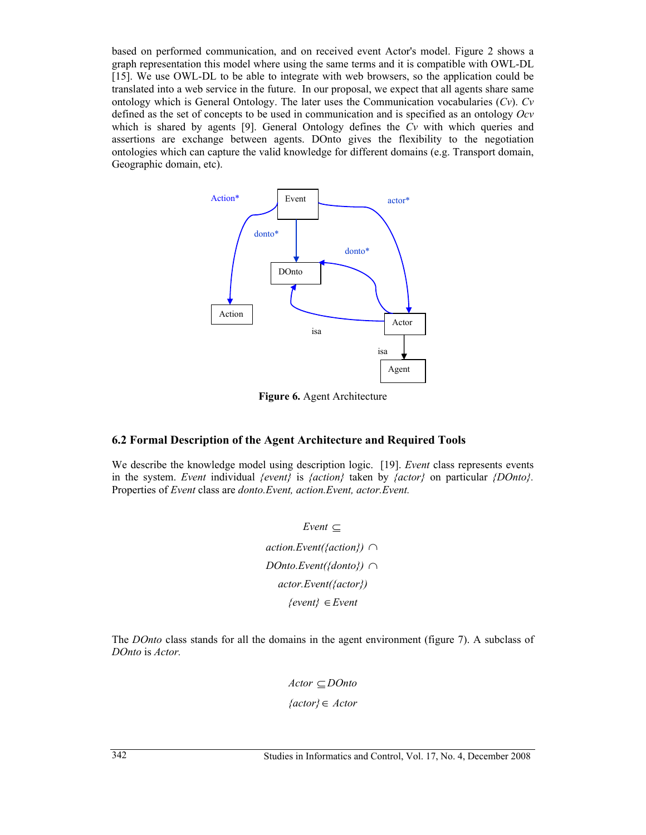based on performed communication, and on received event Actor's model. Figure 2 shows a graph representation this model where using the same terms and it is compatible with OWL-DL [15]. We use OWL-DL to be able to integrate with web browsers, so the application could be translated into a web service in the future. In our proposal, we expect that all agents share same ontology which is General Ontology. The later uses the Communication vocabularies (*Cv*). *Cv* defined as the set of concepts to be used in communication and is specified as an ontology *Ocv*  which is shared by agents [9]. General Ontology defines the *Cv* with which queries and assertions are exchange between agents. DOnto gives the flexibility to the negotiation ontologies which can capture the valid knowledge for different domains (e.g. Transport domain, Geographic domain, etc).



**Figure 6.** Agent Architecture

#### **6.2 Formal Description of the Agent Architecture and Required Tools**

We describe the knowledge model using description logic. [19]. *Event* class represents events in the system. *Event* individual *{event}* is *{action}* taken by *{actor}* on particular *{DOnto}.*  Properties of *Event* class are *donto.Event, action.Event, actor.Event.* 

> *Event* ⊆ *action.Event({action})* ∩ *DOnto.Event({donto})* ∩ *actor.Event({actor}) {event}* ∈*Event*

The *DOnto* class stands for all the domains in the agent environment (figure 7). A subclass of *DOnto* is *Actor.*

> *Actor* ⊆ *DOnto {actor}*∈ *Actor*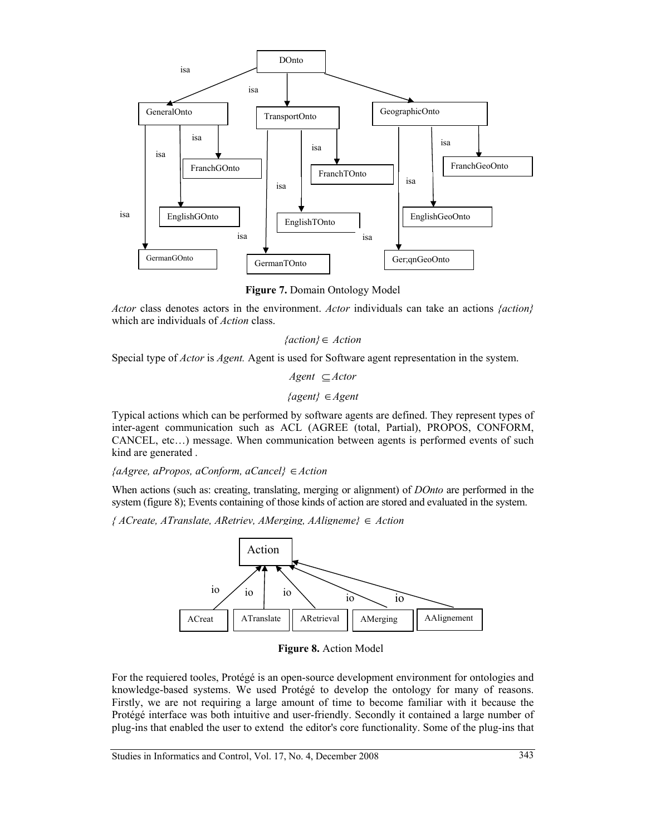

**Figure 7.** Domain Ontology Model

*Actor* class denotes actors in the environment. *Actor* individuals can take an actions *{action}*  which are individuals of *Action* class.

*{action}*∈ *Action*

Special type of *Actor* is *Agent.* Agent is used for Software agent representation in the system.

*Agent* ⊆ *Actor* 

*{agent}* ∈*Agent* 

Typical actions which can be performed by software agents are defined. They represent types of inter-agent communication such as ACL (AGREE (total, Partial), PROPOS, CONFORM, CANCEL, etc…) message. When communication between agents is performed events of such kind are generated .

*{aAgree, aPropos, aConform, aCancel}* ∈*Action* 

When actions (such as: creating, translating, merging or alignment) of *DOnto* are performed in the system (figure 8); Events containing of those kinds of action are stored and evaluated in the system.

*{ ACreate, ATranslate, ARetriev, AMerging, AAligneme}* ∈ *Action* 



**Figure 8.** Action Model

For the requiered tooles, Protégé is an open-source development environment for ontologies and knowledge-based systems. We used Protégé to develop the ontology for many of reasons. Firstly, we are not requiring a large amount of time to become familiar with it because the Protégé interface was both intuitive and user-friendly. Secondly it contained a large number of plug-ins that enabled the user to extend the editor's core functionality. Some of the plug-ins that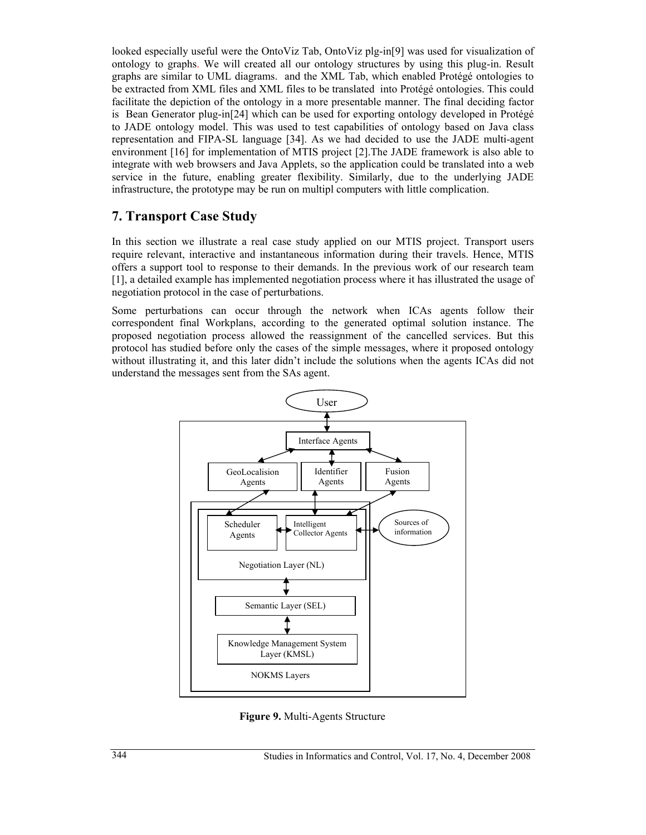looked especially useful were the OntoViz Tab, OntoViz plg-in[9] was used for visualization of ontology to graphs. We will created all our ontology structures by using this plug-in. Result graphs are similar to UML diagrams. and the XML Tab, which enabled Protégé ontologies to be extracted from XML files and XML files to be translated into Protégé ontologies. This could facilitate the depiction of the ontology in a more presentable manner. The final deciding factor is Bean Generator plug-in[24] which can be used for exporting ontology developed in Protégé to JADE ontology model. This was used to test capabilities of ontology based on Java class representation and FIPA-SL language [34]. As we had decided to use the JADE multi-agent environment [16] for implementation of MTIS project [2].The JADE framework is also able to integrate with web browsers and Java Applets, so the application could be translated into a web service in the future, enabling greater flexibility. Similarly, due to the underlying JADE infrastructure, the prototype may be run on multipl computers with little complication.

### **7. Transport Case Study**

In this section we illustrate a real case study applied on our MTIS project. Transport users require relevant, interactive and instantaneous information during their travels. Hence, MTIS offers a support tool to response to their demands. In the previous work of our research team [1], a detailed example has implemented negotiation process where it has illustrated the usage of negotiation protocol in the case of perturbations.

Some perturbations can occur through the network when ICAs agents follow their correspondent final Workplans, according to the generated optimal solution instance. The proposed negotiation process allowed the reassignment of the cancelled services. But this protocol has studied before only the cases of the simple messages, where it proposed ontology without illustrating it, and this later didn't include the solutions when the agents ICAs did not understand the messages sent from the SAs agent.



**Figure 9.** Multi-Agents Structure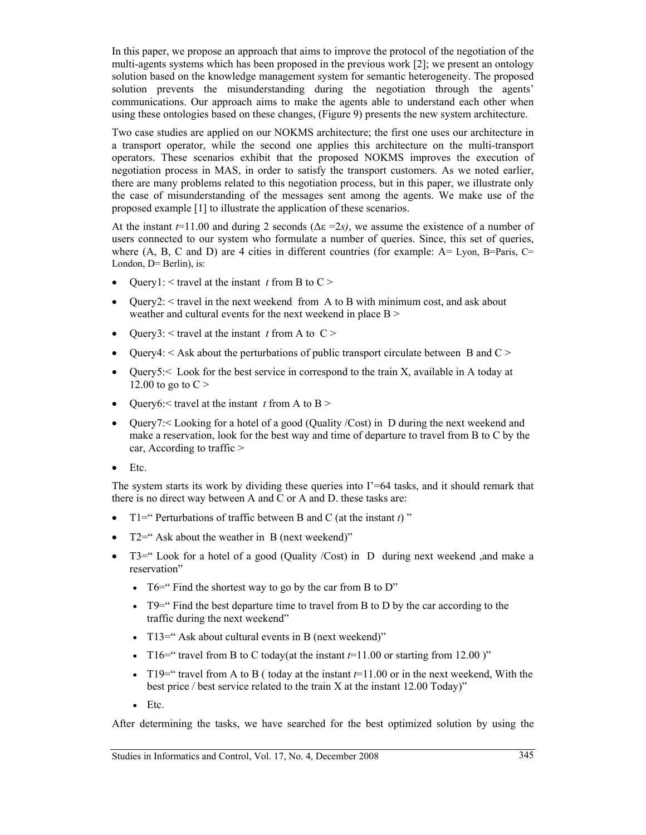In this paper, we propose an approach that aims to improve the protocol of the negotiation of the multi-agents systems which has been proposed in the previous work [2]; we present an ontology solution based on the knowledge management system for semantic heterogeneity. The proposed solution prevents the misunderstanding during the negotiation through the agents' communications. Our approach aims to make the agents able to understand each other when using these ontologies based on these changes, (Figure 9) presents the new system architecture.

Two case studies are applied on our NOKMS architecture; the first one uses our architecture in a transport operator, while the second one applies this architecture on the multi-transport operators. These scenarios exhibit that the proposed NOKMS improves the execution of negotiation process in MAS, in order to satisfy the transport customers. As we noted earlier, there are many problems related to this negotiation process, but in this paper, we illustrate only the case of misunderstanding of the messages sent among the agents. We make use of the proposed example [1] to illustrate the application of these scenarios.

At the instant  $t=11.00$  and during 2 seconds ( $\Delta \varepsilon = 2s$ ), we assume the existence of a number of users connected to our system who formulate a number of queries. Since, this set of queries, where  $(A, B, C \text{ and } D)$  are 4 cities in different countries (for example:  $A = Lyon$ ,  $B = Paris$ ,  $C =$ London, D= Berlin), is:

- Query1:  $\leq$  travel at the instant *t* from B to C  $>$
- Query2: < travel in the next weekend from A to B with minimum cost, and ask about weather and cultural events for the next weekend in place B >
- Query3:  $\leq$  travel at the instant *t* from A to C  $>$
- Query4:  $\leq$  Ask about the perturbations of public transport circulate between B and C  $\geq$
- Query5: $\leq$  Look for the best service in correspond to the train X, available in A today at 12.00 to go to  $C >$
- Query6: $\leq$  travel at the instant *t* from A to B  $>$
- Query7: Looking for a hotel of a good (Quality /Cost) in D during the next weekend and make a reservation, look for the best way and time of departure to travel from B to C by the car, According to traffic >
- Etc.

The system starts its work by dividing these queries into  $I' = 64$  tasks, and it should remark that there is no direct way between A and C or A and D. these tasks are:

- T1=" Perturbations of traffic between B and C (at the instant *t*) "
- $T2=$ " Ask about the weather in B (next weekend)"
- T3=" Look for a hotel of a good (Quality /Cost) in D during next weekend ,and make a reservation"
	- T6=" Find the shortest way to go by the car from B to D"
	- $T9=$ " Find the best departure time to travel from B to D by the car according to the traffic during the next weekend"
	- T13=" Ask about cultural events in B (next weekend)"
	- T16=" travel from B to C today(at the instant  $t=11.00$  or starting from 12.00 )"
	- T19=" travel from A to B ( today at the instant  $t=11.00$  or in the next weekend, With the best price / best service related to the train X at the instant 12.00 Today)"
	- Etc.

After determining the tasks, we have searched for the best optimized solution by using the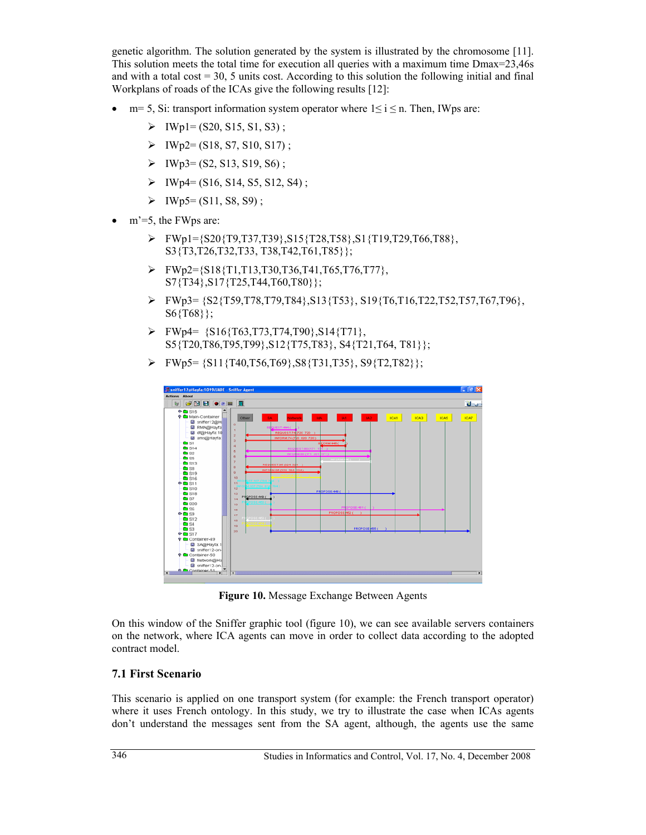genetic algorithm. The solution generated by the system is illustrated by the chromosome [11]. This solution meets the total time for execution all queries with a maximum time Dmax=23,46s and with a total cost  $= 30, 5$  units cost. According to this solution the following initial and final Workplans of roads of the ICAs give the following results [12]:

- $m=5$ , Si: transport information system operator where  $1 \le i \le n$ . Then, IWps are:
	- $\triangleright$  IWp1= (S20, S15, S1, S3);
	- $\triangleright$  IWp2= (S18, S7, S10, S17);
	- $\triangleright$  IWp3= (S2, S13, S19, S6);
	- $\triangleright$  IWp4= (S16, S14, S5, S12, S4);
	- $\triangleright$  IWp5= (S11, S8, S9);
- $\bullet$  m'=5, the FWps are:
	- ¾ FWp1={S20{T9,T37,T39},S15{T28,T58},S1{T19,T29,T66,T88}, S3{T3,T26,T32,T33, T38,T42,T61,T85}};
	- $\triangleright$  FWp2={S18{T1,T13,T30,T36,T41,T65,T76,T77}, S7{T34},S17{T25,T44,T60,T80}};
	- $\triangleright$  FWp3= {S2{T59,T78,T79,T84},S13{T53}, S19{T6,T16,T22,T52,T57,T67,T96}, S6{T68}};
	- $\triangleright$  FWp4= {S16{T63,T73,T74,T90},S14{T71}, S5{T20,T86,T95,T99},S12{T75,T83}, S4{T21,T64, T81}};
	- $\triangleright$  FWp5= {S11{T40,T56,T69},S8{T31,T35}, S9{T2,T82}};



**Figure 10.** Message Exchange Between Agents

On this window of the Sniffer graphic tool (figure 10), we can see available servers containers on the network, where ICA agents can move in order to collect data according to the adopted contract model.

#### **7.1 First Scenario**

This scenario is applied on one transport system (for example: the French transport operator) where it uses French ontology. In this study, we try to illustrate the case when ICAs agents don't understand the messages sent from the SA agent, although, the agents use the same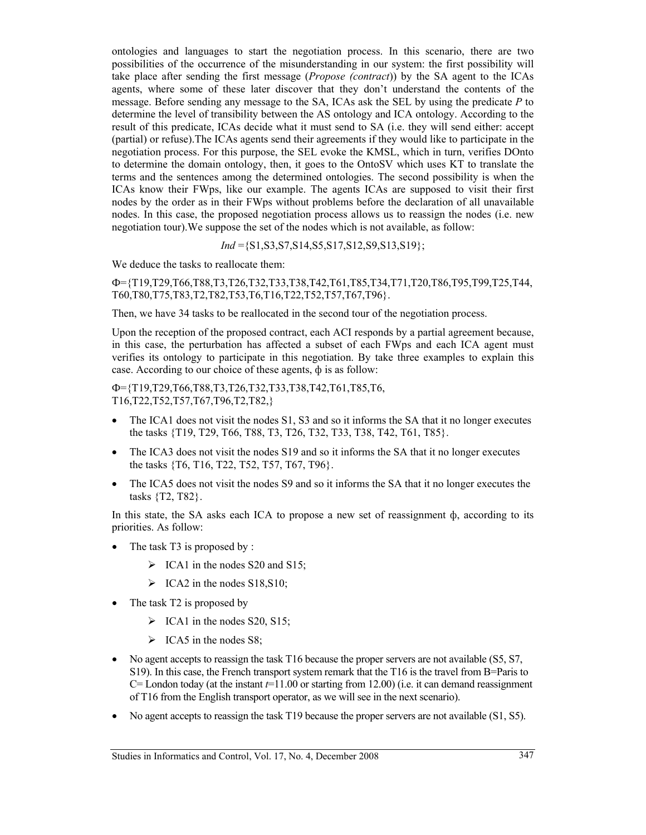ontologies and languages to start the negotiation process. In this scenario, there are two possibilities of the occurrence of the misunderstanding in our system: the first possibility will take place after sending the first message (*Propose (contract*)) by the SA agent to the ICAs agents, where some of these later discover that they don't understand the contents of the message. Before sending any message to the SA, ICAs ask the SEL by using the predicate *P* to determine the level of transibility between the AS ontology and ICA ontology. According to the result of this predicate, ICAs decide what it must send to SA (i.e. they will send either: accept (partial) or refuse).The ICAs agents send their agreements if they would like to participate in the negotiation process. For this purpose, the SEL evoke the KMSL, which in turn, verifies DOnto to determine the domain ontology, then, it goes to the OntoSV which uses KT to translate the terms and the sentences among the determined ontologies. The second possibility is when the ICAs know their FWps, like our example. The agents ICAs are supposed to visit their first nodes by the order as in their FWps without problems before the declaration of all unavailable nodes. In this case, the proposed negotiation process allows us to reassign the nodes (i.e. new negotiation tour).We suppose the set of the nodes which is not available, as follow:

*Ind* ={S1,S3,S7,S14,S5,S17,S12,S9,S13,S19};

We deduce the tasks to reallocate them:

Ф={T19,T29,T66,T88,T3,T26,T32,T33,T38,T42,T61,T85,T34,T71,T20,T86,T95,T99,T25,T44, T60,T80,T75,T83,T2,T82,T53,T6,T16,T22,T52,T57,T67,T96}.

Then, we have 34 tasks to be reallocated in the second tour of the negotiation process.

Upon the reception of the proposed contract, each ACI responds by a partial agreement because, in this case, the perturbation has affected a subset of each FWps and each ICA agent must verifies its ontology to participate in this negotiation. By take three examples to explain this case. According to our choice of these agents, ф is as follow:

Ф={T19,T29,T66,T88,T3,T26,T32,T33,T38,T42,T61,T85,T6, T16,T22,T52,T57,T67,T96,T2,T82,}

- The ICA1 does not visit the nodes S1, S3 and so it informs the SA that it no longer executes the tasks {T19, T29, T66, T88, T3, T26, T32, T33, T38, T42, T61, T85}.
- The ICA3 does not visit the nodes S19 and so it informs the SA that it no longer executes the tasks {T6, T16, T22, T52, T57, T67, T96}.
- The ICA5 does not visit the nodes S9 and so it informs the SA that it no longer executes the tasks {T2, T82}.

In this state, the SA asks each ICA to propose a new set of reassignment  $\phi$ , according to its priorities. As follow:

- The task T3 is proposed by :
	- $\triangleright$  ICA1 in the nodes S20 and S15;
	- $\triangleright$  ICA2 in the nodes S18, S10;
- The task T2 is proposed by
	- $\triangleright$  ICA1 in the nodes S20, S15;
	- $\triangleright$  ICA5 in the nodes S8;
- No agent accepts to reassign the task T16 because the proper servers are not available (S5, S7, S19). In this case, the French transport system remark that the T16 is the travel from B=Paris to  $C=$  London today (at the instant  $t=11.00$  or starting from 12.00) (i.e. it can demand reassignment of T16 from the English transport operator, as we will see in the next scenario).
- No agent accepts to reassign the task T19 because the proper servers are not available (S1, S5).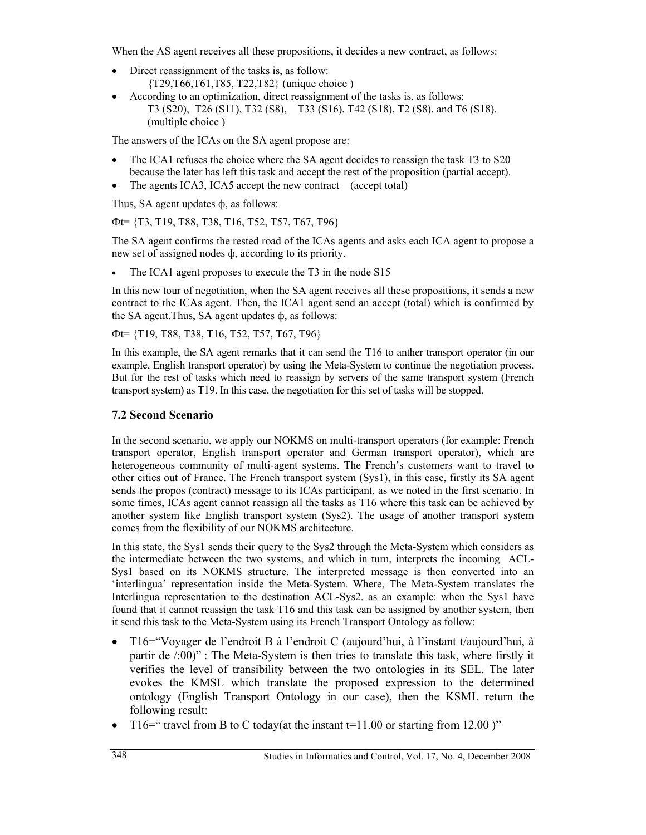When the AS agent receives all these propositions, it decides a new contract, as follows:

- Direct reassignment of the tasks is, as follow: {T29,T66,T61,T85, T22,T82} (unique choice )
- According to an optimization, direct reassignment of the tasks is, as follows: T3 (S20), T26 (S11), T32 (S8), T33 (S16), T42 (S18), T2 (S8), and T6 (S18). (multiple choice )

The answers of the ICAs on the SA agent propose are:

- The ICA1 refuses the choice where the SA agent decides to reassign the task T3 to S20 because the later has left this task and accept the rest of the proposition (partial accept).
- The agents ICA3, ICA5 accept the new contract (accept total)

Thus, SA agent updates ф, as follows:

Фt= {T3, T19, T88, T38, T16, T52, T57, T67, T96}

The SA agent confirms the rested road of the ICAs agents and asks each ICA agent to propose a new set of assigned nodes ф, according to its priority.

The ICA1 agent proposes to execute the T3 in the node S15

In this new tour of negotiation, when the SA agent receives all these propositions, it sends a new contract to the ICAs agent. Then, the ICA1 agent send an accept (total) which is confirmed by the SA agent.Thus, SA agent updates ф, as follows:

Фt= {T19, T88, T38, T16, T52, T57, T67, T96}

In this example, the SA agent remarks that it can send the T16 to anther transport operator (in our example, English transport operator) by using the Meta-System to continue the negotiation process. But for the rest of tasks which need to reassign by servers of the same transport system (French transport system) as T19. In this case, the negotiation for this set of tasks will be stopped.

#### **7.2 Second Scenario**

In the second scenario, we apply our NOKMS on multi-transport operators (for example: French transport operator, English transport operator and German transport operator), which are heterogeneous community of multi-agent systems. The French's customers want to travel to other cities out of France. The French transport system (Sys1), in this case, firstly its SA agent sends the propos (contract) message to its ICAs participant, as we noted in the first scenario. In some times, ICAs agent cannot reassign all the tasks as T16 where this task can be achieved by another system like English transport system (Sys2). The usage of another transport system comes from the flexibility of our NOKMS architecture.

In this state, the Sys1 sends their query to the Sys2 through the Meta-System which considers as the intermediate between the two systems, and which in turn, interprets the incoming ACL-Sys1 based on its NOKMS structure. The interpreted message is then converted into an 'interlingua' representation inside the Meta-System. Where, The Meta-System translates the Interlingua representation to the destination ACL-Sys2. as an example: when the Sys1 have found that it cannot reassign the task T16 and this task can be assigned by another system, then it send this task to the Meta-System using its French Transport Ontology as follow:

- T16="Voyager de l'endroit B à l'endroit C (aujourd'hui, à l'instant t/aujourd'hui, à partir de /:00)" : The Meta-System is then tries to translate this task, where firstly it verifies the level of transibility between the two ontologies in its SEL. The later evokes the KMSL which translate the proposed expression to the determined ontology (English Transport Ontology in our case), then the KSML return the following result:
- T16=" travel from B to C today(at the instant  $t=11.00$  or starting from 12.00 )"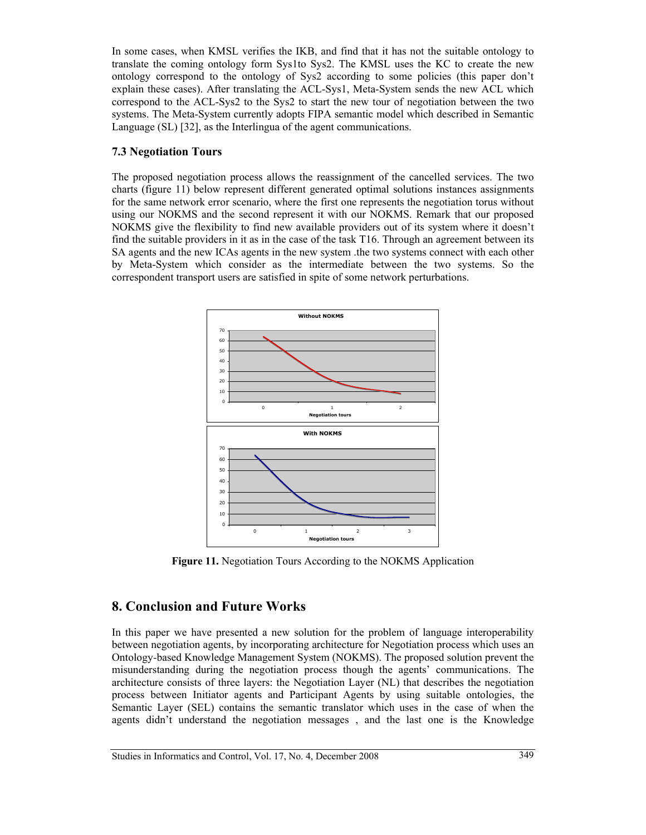In some cases, when KMSL verifies the IKB, and find that it has not the suitable ontology to translate the coming ontology form Sys1to Sys2. The KMSL uses the KC to create the new ontology correspond to the ontology of Sys2 according to some policies (this paper don't explain these cases). After translating the ACL-Sys1, Meta-System sends the new ACL which correspond to the ACL-Sys2 to the Sys2 to start the new tour of negotiation between the two systems. The Meta-System currently adopts FIPA semantic model which described in Semantic Language (SL) [32], as the Interlingua of the agent communications.

#### **7.3 Negotiation Tours**

The proposed negotiation process allows the reassignment of the cancelled services. The two charts (figure 11) below represent different generated optimal solutions instances assignments for the same network error scenario, where the first one represents the negotiation torus without using our NOKMS and the second represent it with our NOKMS. Remark that our proposed NOKMS give the flexibility to find new available providers out of its system where it doesn't find the suitable providers in it as in the case of the task T16. Through an agreement between its SA agents and the new ICAs agents in the new system .the two systems connect with each other by Meta-System which consider as the intermediate between the two systems. So the correspondent transport users are satisfied in spite of some network perturbations.



**Figure 11.** Negotiation Tours According to the NOKMS Application

# **8. Conclusion and Future Works**

In this paper we have presented a new solution for the problem of language interoperability between negotiation agents, by incorporating architecture for Negotiation process which uses an Ontology-based Knowledge Management System (NOKMS). The proposed solution prevent the misunderstanding during the negotiation process though the agents' communications. The architecture consists of three layers: the Negotiation Layer (NL) that describes the negotiation process between Initiator agents and Participant Agents by using suitable ontologies, the Semantic Layer (SEL) contains the semantic translator which uses in the case of when the agents didn't understand the negotiation messages , and the last one is the Knowledge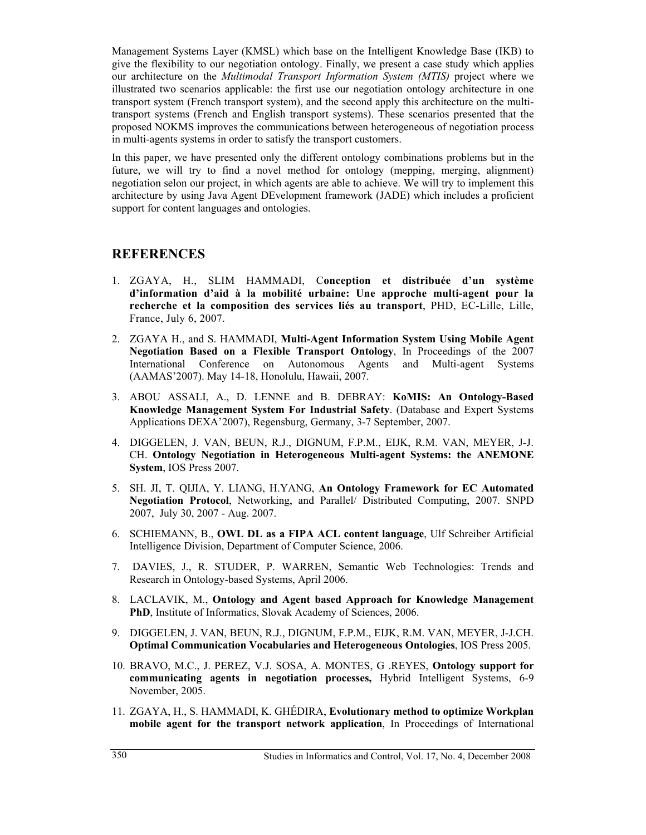Management Systems Layer (KMSL) which base on the Intelligent Knowledge Base (IKB) to give the flexibility to our negotiation ontology. Finally, we present a case study which applies our architecture on the *Multimodal Transport Information System (MTIS)* project where we illustrated two scenarios applicable: the first use our negotiation ontology architecture in one transport system (French transport system), and the second apply this architecture on the multitransport systems (French and English transport systems). These scenarios presented that the proposed NOKMS improves the communications between heterogeneous of negotiation process in multi-agents systems in order to satisfy the transport customers.

In this paper, we have presented only the different ontology combinations problems but in the future, we will try to find a novel method for ontology (mepping, merging, alignment) negotiation selon our project, in which agents are able to achieve. We will try to implement this architecture by using Java Agent DEvelopment framework (JADE) which includes a proficient support for content languages and ontologies.

### **REFERENCES**

- 1. ZGAYA, H., SLIM HAMMADI, C**onception et distribuée d'un système d'information d'aid à la mobilité urbaine: Une approche multi-agent pour la recherche et la composition des services liés au transport**, PHD, EC-Lille, Lille, France, July 6, 2007.
- 2. ZGAYA H., and S. HAMMADI, **Multi-Agent Information System Using Mobile Agent Negotiation Based on a Flexible Transport Ontology**, In Proceedings of the 2007 International Conference on Autonomous Agents and Multi-agent Systems (AAMAS'2007). May 14-18, Honolulu, Hawaii, 2007.
- 3. ABOU ASSALI, A., D. LENNE and B. DEBRAY: **KoMIS: An Ontology-Based Knowledge Management System For Industrial Safety**. (Database and Expert Systems Applications DEXA'2007), Regensburg, Germany, 3-7 September, 2007.
- 4. DIGGELEN, J. VAN, BEUN, R.J., DIGNUM, F.P.M., EIJK, R.M. VAN, MEYER, J-J. CH. **Ontology Negotiation in Heterogeneous Multi-agent Systems: the ANEMONE System**, IOS Press 2007.
- 5. SH. JI, T. QIJIA, Y. LIANG, H.YANG, **An Ontology Framework for EC Automated Negotiation Protocol**, Networking, and Parallel/ Distributed Computing, 2007. SNPD 2007, July 30, 2007 - Aug. 2007.
- 6. SCHIEMANN, B., **OWL DL as a FIPA ACL content language**, Ulf Schreiber Artificial Intelligence Division, Department of Computer Science, 2006.
- 7. DAVIES, J., R. STUDER, P. WARREN, Semantic Web Technologies: Trends and Research in Ontology-based Systems, April 2006.
- 8. LACLAVIK, M., **Ontology and Agent based Approach for Knowledge Management PhD**, Institute of Informatics, Slovak Academy of Sciences, 2006.
- 9. DIGGELEN, J. VAN, BEUN, R.J., DIGNUM, F.P.M., EIJK, R.M. VAN, MEYER, J-J.CH. **Optimal Communication Vocabularies and Heterogeneous Ontologies**, IOS Press 2005.
- 10. BRAVO, M.C., J. PEREZ, V.J. SOSA, A. MONTES, G .REYES, **Ontology support for communicating agents in negotiation processes,** Hybrid Intelligent Systems, 6-9 November, 2005.
- 11. ZGAYA, H., S. HAMMADI, K. GHÉDIRA, **Evolutionary method to optimize Workplan mobile agent for the transport network application**, In Proceedings of International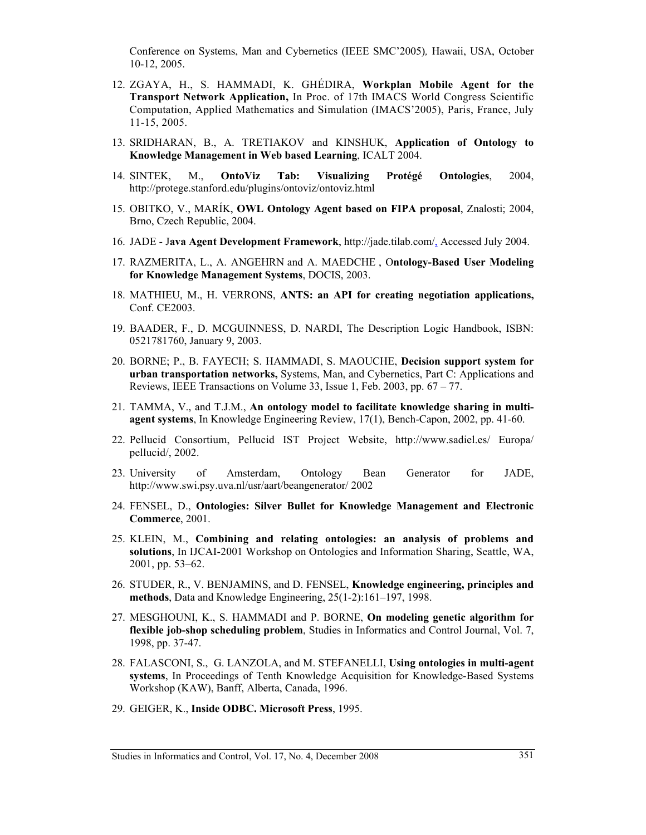Conference on Systems, Man and Cybernetics (IEEE SMC'2005)*,* Hawaii, USA, October 10-12, 2005.

- 12. ZGAYA, H., S. HAMMADI, K. GHÉDIRA, **Workplan Mobile Agent for the Transport Network Application,** In Proc. of 17th IMACS World Congress Scientific Computation, Applied Mathematics and Simulation (IMACS'2005), Paris, France, July 11-15, 2005.
- 13. SRIDHARAN, B., A. TRETIAKOV and KINSHUK, **Application of Ontology to Knowledge Management in Web based Learning**, ICALT 2004.
- 14. SINTEK, M., **OntoViz Tab: Visualizing Protégé Ontologies**, 2004, http://protege.stanford.edu/plugins/ontoviz/ontoviz.html
- 15. OBITKO, V., MARÍK, **OWL Ontology Agent based on FIPA proposal**, Znalosti; 2004, Brno, Czech Republic, 2004.
- 16. JADE J**ava Agent Development Framework**, http://jade.tilab.com/, Accessed July 2004.
- 17. RAZMERITA, L., A. ANGEHRN and A. MAEDCHE , O**ntology-Based User Modeling for Knowledge Management Systems**, DOCIS, 2003.
- 18. MATHIEU, M., H. VERRONS, **ANTS: an API for creating negotiation applications,**  Conf. CE2003.
- 19. BAADER, F., D. MCGUINNESS, D. NARDI, The Description Logic Handbook, ISBN: 0521781760, January 9, 2003.
- 20. BORNE; P., B. FAYECH; S. HAMMADI, S. MAOUCHE, **Decision support system for urban transportation networks,** Systems, Man, and Cybernetics, Part C: Applications and Reviews, IEEE Transactions on Volume 33, Issue 1, Feb. 2003, pp. 67 – 77.
- 21. TAMMA, V., and T.J.M., **An ontology model to facilitate knowledge sharing in multiagent systems**, In Knowledge Engineering Review, 17(1), Bench-Capon, 2002, pp. 41-60.
- 22. Pellucid Consortium, Pellucid IST Project Website, http://www.sadiel.es/ Europa/ pellucid/, 2002.
- 23. University of Amsterdam, Ontology Bean Generator for JADE, http://www.swi.psy.uva.nl/usr/aart/beangenerator/ 2002
- 24. FENSEL, D., **Ontologies: Silver Bullet for Knowledge Management and Electronic Commerce**, 2001.
- 25. KLEIN, M., **Combining and relating ontologies: an analysis of problems and solutions**, In IJCAI-2001 Workshop on Ontologies and Information Sharing, Seattle, WA, 2001, pp. 53–62.
- 26. STUDER, R., V. BENJAMINS, and D. FENSEL, **Knowledge engineering, principles and methods**, Data and Knowledge Engineering, 25(1-2):161–197, 1998.
- 27. MESGHOUNI, K., S. HAMMADI and P. BORNE, **On modeling genetic algorithm for flexible job-shop scheduling problem**, Studies in Informatics and Control Journal, Vol. 7, 1998, pp. 37-47.
- 28. FALASCONI, S., G. LANZOLA, and M. STEFANELLI, **Using ontologies in multi-agent systems**, In Proceedings of Tenth Knowledge Acquisition for Knowledge-Based Systems Workshop (KAW), Banff, Alberta, Canada, 1996.
- 29. GEIGER, K., **Inside ODBC. Microsoft Press**, 1995.